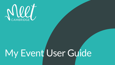

# My Event User Guide

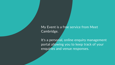My Event is a free service from Meet Cambridge.

It's a personal, online enquiry management portal allowing you to keep track of your enquiries and venue responses.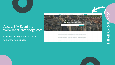

## Access My Event via [www.meet-cambridge.com](https://www.meet-cambridge.com/)

LOCATING MY EVENT**LOCATING MY EVENT** 



Click on the log in button at the top of the home page.



### **Why Choose Meet Cambridge?**

We are the experts and we're here to help you deliver an exceptional event experience. We offer a suite of bureau services and a single point of contact for a incredible portfolio of venues at the University of Cambridge, the Cambridge Colleges, hotels and other wonderful, unique properties in the city and beyond

We're connected

Colleges.

### We're free

We offer a free venue-finding service with no obligation to book; a single point of contact for over 50 venues in and around Cambridge

Read More

My Event log in **Enquire** 

Looking for a College, a Unique Event Space or a Hotel in or Near Cambridge?

### We're experienced

Meet Cambridge is owned by the Cambridge

Our team of event specialists have extensi Colleges and the official venue-finding service for knowledge about Cambridge, its venues and space at the University of Cambridge and its attractions, and the surrounding areas.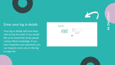

# [Enter your log in details](https://www.meet-cambridge.com/)

LOGGING IN**TOGGING**  $\overline{z}$ 

Your log in details will have been sent to you by email, if you would like us to resend the email, please contact Meet Cambridge. If you have forgotten your password, you can request a new one on the log in page too.

**My Event Login** 



| <b>Username:</b> |                         |
|------------------|-------------------------|
| Password:        |                         |
|                  | Remember Username:<br>× |
|                  | Forgot Password?        |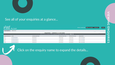

# [See all of your enquiries at a glance...](https://www.meet-cambridge.com/)

|                                | My Event           |                           |                                                           |          |
|--------------------------------|--------------------|---------------------------|-----------------------------------------------------------|----------|
| <b>My Enquiries</b>            | <b>My Record</b>   |                           |                                                           |          |
|                                |                    |                           | <b>ENQUIRIES - CURRENTLY 15 IN VIEW</b>                   |          |
|                                |                    |                           | A B C D E F G H I J K L M N O P Q R S T U V W X Y Z Other |          |
| <b>Enquiry Reference Event</b> |                    | <b>Lead Received Date</b> | Preferred Start Date /                                    | Preferre |
| 342                            | My Event Enquiry   | 06/06/2018                | 29/05/2022                                                | 31/05/2  |
| 1043                           | My Event Enguiry 2 | 04/09/2018                | 12/08/2020                                                | 16/08/2  |
| 814                            | My Event Enguiry 3 | 03/08/2018                | 21/10/2019                                                | 23/10/2  |
| 4935                           | My Event Enguiry 4 | 12/09/2019                | 21/10/2019                                                | 23/10/2  |





# NIEWING VIEWING ENQUIRIES **ENQUIRISS**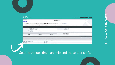

### Neet My Event

My Enquiries My Record

### **Next steps**

1. Take a look at the offers and decide which venue (s) works best for your event<br>2. Request a site visit, make a provisional or definite booking or ask us a question by clicking the 'select' button next to your chosen ven 3. Your request(s) will be sent onto the venue and they will come back to you direct.

We'll be back in touch in a couple of days to check that you are happy with the response to your enquiry, in the meantime, if you approach a venue direct, please remember to quote your enquiry reference number, and mention Meet Cambridge.

|                         |                                                                                       | <b>Event Information</b>      |                                                           |
|-------------------------|---------------------------------------------------------------------------------------|-------------------------------|-----------------------------------------------------------|
| Enquiry Reference: 1043 |                                                                                       |                               | Meeting Pattern:                                          |
|                         | Meeting Name: My Event Enguiry 2                                                      |                               | Attendees: 200                                            |
|                         | Organisation: Meet Cambridge                                                          |                               | Site inspection? No                                       |
|                         | Meeting Requirements: Client would like to get an idea of rates and avai  (Show More) |                               |                                                           |
| Schedule of Events:     |                                                                                       |                               |                                                           |
| Comments:               |                                                                                       |                               |                                                           |
|                         | <b>Meeting Dates</b>                                                                  |                               |                                                           |
| Type                    | <b>Start Date</b>                                                                     | <b>End Date</b>               | Date Comments: Some delegate<br># Shoulder days before: 2 |
| Primary                 | 08-12-2020                                                                            | 16-08-2020                    | # Shoulder days after: 2                                  |
|                         |                                                                                       | <b>Response Summary</b>       |                                                           |
|                         |                                                                                       | Date: 10/08/2020 - 18/08/2020 |                                                           |

| Venue                                      | <b>File Attachments</b> | <b>Status</b>       | <b>Reason for Not Pursuing</b>     | Other |  |
|--------------------------------------------|-------------------------|---------------------|------------------------------------|-------|--|
| Clare College                              | No                      | Select Property     |                                    |       |  |
| Corpus Christi College                     |                         | <b>Not Pursuing</b> | No availability on requested dates |       |  |
| DoubleTree by Hilton Cambridge City Centre | <b>No</b>               | Select Property     |                                    |       |  |
| owning College                             | <b>No</b>               | Select Property     |                                    |       |  |
| william College                            |                         | <b>Not Pursuing</b> | No availability on requested dates |       |  |

# [See the venues that can help and those that can't...](https://www.meet-cambridge.com/)

**MY EVENT ENQUIRY 2** 



# RESPONSE SUMMARY RESPONSE SUMMARY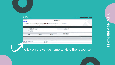

### Nll My Event

My Enquiries My Record

### **Next steps**

- 
- 1. Take a look at the offers and decide which venue (s) works best for your event<br>2. Request a site visit, make a provisional or definite booking or ask us a question by clicking the 'select' button next to your chosen ven 3. Your request(s) will be sent onto the venue and they will come back to you direct.

We'll be back in touch in a couple of days to check that you are happy with the response to your enquiry, in the meantime, if you approach a venue direct, please remember to quote your enquiry reference number, and mention Meet Cambridge.

**MY EVENT ENQUIRY 2** 

|                      | <b>Event Information</b>                                                                                                        |                                                                                       |
|----------------------|---------------------------------------------------------------------------------------------------------------------------------|---------------------------------------------------------------------------------------|
|                      |                                                                                                                                 | Meeting Pattern:                                                                      |
|                      |                                                                                                                                 | Attendees: 200                                                                        |
|                      |                                                                                                                                 | Site inspection? No                                                                   |
|                      |                                                                                                                                 |                                                                                       |
|                      |                                                                                                                                 |                                                                                       |
|                      |                                                                                                                                 |                                                                                       |
| <b>Meeting Dates</b> |                                                                                                                                 |                                                                                       |
| <b>Start Date</b>    | <b>End Date</b>                                                                                                                 | Date Comments: Some delegate<br># Shoulder days before: 2                             |
| 08-12-2020           | 16-08-2020                                                                                                                      | # Shoulder days after: 2                                                              |
|                      | <b>Response Summary</b>                                                                                                         |                                                                                       |
|                      | Enquiry Reference: 1043<br>Meeting Name: My Event Enquiry 2<br>Organisation: Meet Cambridge<br>Schedule of Events:<br>Comments: | Meeting Requirements: Client would like to get an idea of rates and avai  (Show More) |

|                                            |                         |                       | Date: 10/08/2020 - 18/08/2020      |       |  |
|--------------------------------------------|-------------------------|-----------------------|------------------------------------|-------|--|
| Venue                                      | <b>File Attachments</b> | <b>Status</b><br>---- | <b>Reason for Not Pursuing</b>     | Other |  |
| Clare College                              | No.                     | Select Property       |                                    |       |  |
| <b>Corpus Christi College</b>              |                         | <b>Not Pursuing</b>   | No availability on requested dates |       |  |
| DoubleTree by Hilton Cambridge City Centre | <b>No</b>               | Select Property       |                                    |       |  |
| owning College                             | <b>No</b>               | Select Property       |                                    |       |  |
| william College                            |                         | <b>Not Pursuing</b>   | No availability on requested dates |       |  |

# [Click on the venue name to view the response.](https://www.meet-cambridge.com/)





# VIEWING A RESPONSE NIEWING  $\blacktriangleright$ **RESPONSE**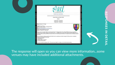

Print this Page Close Window

### **Enquiry Reference Number 5068**

 $Date(s):$ 

21 July 2020 - 22 July 2020 28 July 2020 - 29 July 2020 14 July 2020 - 15 July 2020

### Venue: Queens' College

Contact: ' ----- <u>n-+--</u> Address: Oueens' College. Cambridge CB3 9ET Tel: Web: http://www.queens.cam.ac.uk/conferences Email: conferences@queens.cam.ac.uk Date(s): 27 July 2020 - 29 July 2020

Thank you for your enquiry which we received via the Meet Cambridge website. We would be delighted to host your residential conference here at Queens' College, and currently have the........available. We are proud to offer a range of flexible facilities, from the stunning architecture of the Old Hall, to the state of the art AV in the Fitzpatrick Auditorium. Meeting to discuss marketing strategy for 2019/2020

For your particular Conference, the Fitzpatrick Hall is the most suitable space, which is charged at £900 per day for a residential conference, and includes the following: - Full technical support

Integral Screen

- PA System with microphones

- Lecterns and laser pointer

Our Accommodation is charged at £80 + VAT per person per night, for a single en-suite, which includes breakfast.

### [The response will open so you can view more information...some](https://www.meet-cambridge.com/) venues may have included additional attachments.





# RESPONSES IN DETAIL ONS  $\overline{\mathbf{u}}$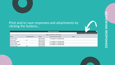

# [Print and/or save responses and attachments by](https://www.meet-cambridge.com/) clicking the buttons...

|                          |                         |                     | <b>Response Summary</b>            |  |
|--------------------------|-------------------------|---------------------|------------------------------------|--|
|                          |                         |                     | Date: 28/11/2019 - 28/11/2019      |  |
| Venue                    | <b>File Attachments</b> | <b>Status</b>       | <b>Reason for Not Pursuing</b>     |  |
| Churchill College        |                         | <b>Not Pursuing</b> | No availability on requested dates |  |
| Clare College            | No                      | Select Property     |                                    |  |
| Corpus Christi College   |                         | <b>Not Pursuing</b> | No availability on requested dates |  |
| Downing College          |                         | <b>Not Pursuing</b> | No availability on requested dates |  |
| Gonville & Caius College |                         | <b>Not Pursuing</b> | No availability on requested dates |  |
| <b>Homerton College</b>  | Yes                     | Select Property     |                                    |  |



# REVIEWING RESPONSES **HAING RESPONSES**

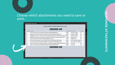## [Choose which attachments you need to save or](https://www.meet-cambridge.com/) print...

|                         | Include? File Name                                                                        | <b>Response ID Hotel</b> |
|-------------------------|-------------------------------------------------------------------------------------------|--------------------------|
| B                       | Wine-List-2019-Homerton_5AE45A70-8FD3-4507-A64D0DF76E0EC8EF.pdf                           | 62842                    |
| Đ                       | Reception-Drinks-2019-Homerton_E2C13E20-DE47-4F1D-BD6BAD27E7DF1955.pdf                    | 62842                    |
| $\Box$                  | Suggested-Dinner-Menu-2019--2020-Homerton_8F0ECF6E-6A5A-4923-B995D7E7172C4007.pdf 62842   |                          |
| Θ                       | Madingley-Hall-Autumn-winter-menus-2019_BB20CF97-9CE8-4516-A512FAFD77B3C322.pdf           | 62643                    |
| $\Box$                  | Wine-List-2019_9A341FF4-4901-4EDB-976A96F4371D4AC3.pdf                                    | 62643                    |
| $\Box$                  | MEC-Fine-Dining-Menu-Apr-Oct-2019_0FF06792-E87E-4C1B-82649926014D4832.pdf                 | 62891                    |
| Ð                       | MEC-Wine-Drinks-with-information_BBA85F53-CC34-4603-9227E06C442496F1.pdf                  | 62891                    |
| ⊛                       | 2019-Trinity-Hall-Autumn-Winter-Dining-Menu CD3E6D83-A542-40B4-887B8A3A7DDF09F7.pdf 62886 |                          |
| $\overline{\mathbf{v}}$ | 2019-Trinity-Hall-Wine-List_640927E4-8903-4EDC-B9D17EFB2DB66233.pdf                       | 62886                    |
|                         | <b>Zip Response Files</b><br>Close                                                        |                          |

| tel/Facility             | Pursuing? |
|--------------------------|-----------|
| merton College           | Yes       |
| merton College           | Yes       |
| merton College           | Yes       |
| dingley Hall             | Yes       |
| dingley Hall             | Yes       |
| rray Edwards College Yes |           |
| rray Edwards College Yes |           |
| nity Hall                | Yes       |
| nity Hall                | Yes       |
|                          |           |

tre i montie mi

RESPONSE ATTACHMENTS ONSE **TTACHMENTS**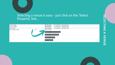# [Selecting a venue is easy - just click on the 'Select](https://www.meet-cambridge.com/) Property' link...



SELECTING A VENUE ELECTING A VENUE

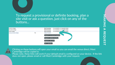

### [To request a provisional or definite booking, plan a](https://www.meet-cambridge.com/) site visit or ask a question, just click on any of the buttons...





Clicking on these buttons will open your email so you can email the venue direct; Meet Cambridge will be copied in. [Please note, these links will work if your default email is configured on your device. If the link](https://www.meet-cambridge.com/) does not open, please email or call Meet Cambridge with your request.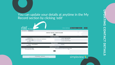# [You can update your details at anytime in the My](https://www.meet-cambridge.com/) Record section by clicking 'edit'



| Account: Meet Cambridge                           |
|---------------------------------------------------|
| <b>Full Name: Judith Sloane</b>                   |
|                                                   |
| Job Title: Deputy Manager                         |
|                                                   |
| <b>Phone Numbers</b>                              |
| Alternate:                                        |
|                                                   |
| <b>Additional Information</b>                     |
| OK for Invitations for Events at MC Venues: Email |
| Title:                                            |
| Edit                                              |
|                                                   |

My Enquiries | My Record Version 3.0, Copyright @2003-2019 simpleview, inc. All rights reserved.



UPDATING CONTACT DETAILS DATING CONTACT DETAILS

simpleview **A**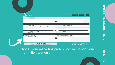| <b>My Enquiries</b><br><b>My Record</b>                                                             |                                                                   |
|-----------------------------------------------------------------------------------------------------|-------------------------------------------------------------------|
|                                                                                                     | <b>CONTACT DETAIL: JUDITH SLOANE</b>                              |
|                                                                                                     | Edit                                                              |
|                                                                                                     | <b>Contact Information</b>                                        |
| Contact ID: 12<br>First/Last Name: Judith Sloane (testing email notification)                       | <b>Account: Meet Cambridge</b><br><b>Full Name: Judith Sloane</b> |
| Preferred Method: Email<br>Email: judith@meet-cambridge.com<br>Department:                          | Job Title: Deputy Manager                                         |
|                                                                                                     | <b>Phone Numbers</b>                                              |
| Primary: +441223768740<br>Mobile Phone:                                                             | Alternate:                                                        |
|                                                                                                     | <b>Additional Information</b>                                     |
| OK for Invitations to MC Events: SMS<br>OK to receive News: Email                                   | OK for Invitations for Events at MC Venues: Er<br>Title:          |
|                                                                                                     | Edit                                                              |
|                                                                                                     |                                                                   |
| My Enquiries   My Record<br>Version 3.0, Copyright @2003-2019 simpleview, inc. All rights reserved. |                                                                   |

## [Choose your marketing preferences in the additional](https://www.meet-cambridge.com/) information section...



# simpleview **A**

**C<br>P<br>D** UPDATING MARKETING PREFERENCES **ATING MAKEHING PREFERICES**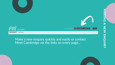

Event **My Enquiries** My Record

# [Make a new enquiry quickly and easily or contact](https://www.meet-cambridge.com/) Meet Cambridge via the links on every page...



NAKING A NEW ENQUIRY HAHAING A NEW ENQUIRY